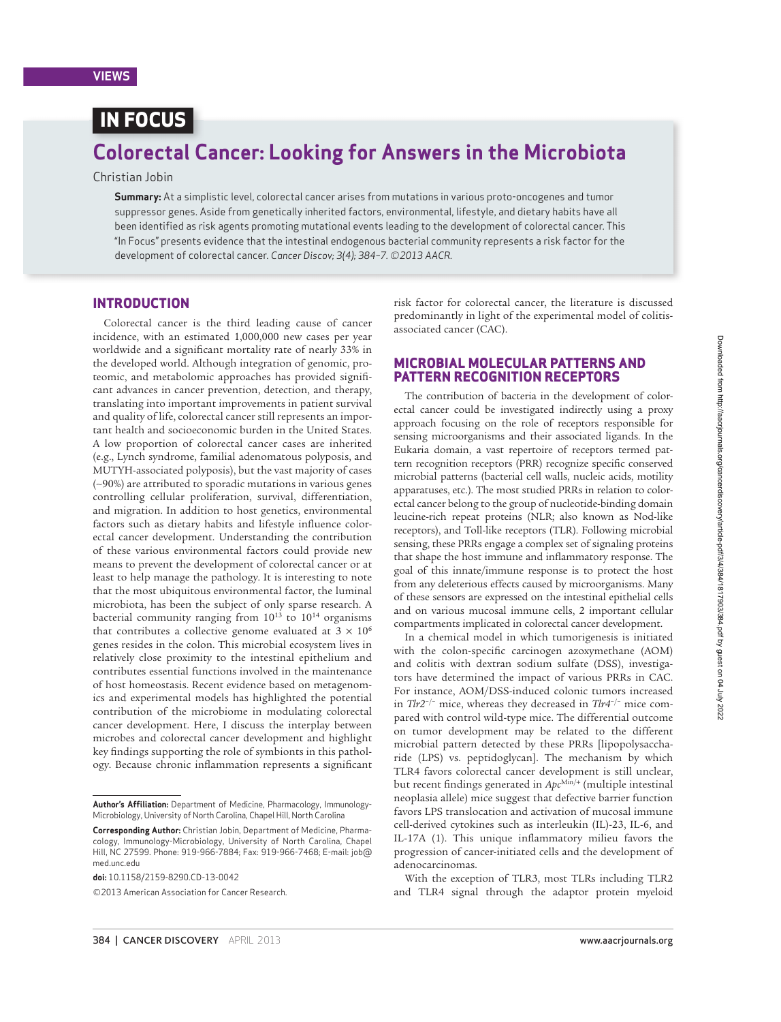## **IN FOCUS**

# **Colorectal Cancer: Looking for Answers in the Microbiota**

Christian Jobin

**Summary:** At a simplistic level, colorectal cancer arises from mutations in various proto-oncogenes and tumor suppressor genes. Aside from genetically inherited factors, environmental, lifestyle, and dietary habits have all been identified as risk agents promoting mutational events leading to the development of colorectal cancer. This "In Focus" presents evidence that the intestinal endogenous bacterial community represents a risk factor for the development of colorectal cancer. *Cancer Discov; 3(4); 384–7. ©2013 AACR.*

### **INTRODUCTION**

 Colorectal cancer is the third leading cause of cancer incidence, with an estimated 1,000,000 new cases per year worldwide and a significant mortality rate of nearly 33% in the developed world. Although integration of genomic, proteomic, and metabolomic approaches has provided significant advances in cancer prevention, detection, and therapy, translating into important improvements in patient survival and quality of life, colorectal cancer still represents an important health and socioeconomic burden in the United States. A low proportion of colorectal cancer cases are inherited (e.g., Lynch syndrome, familial adenomatous polyposis, and MUTYH-associated polyposis), but the vast majority of cases (∼90%) are attributed to sporadic mutations in various genes controlling cellular proliferation, survival, differentiation, and migration. In addition to host genetics, environmental factors such as dietary habits and lifestyle influence colorectal cancer development. Understanding the contribution of these various environmental factors could provide new means to prevent the development of colorectal cancer or at least to help manage the pathology. It is interesting to note that the most ubiquitous environmental factor, the luminal microbiota, has been the subject of only sparse research. A bacterial community ranging from  $10^{13}$  to  $10^{14}$  organisms that contributes a collective genome evaluated at  $3 \times 10^6$ genes resides in the colon. This microbial ecosystem lives in relatively close proximity to the intestinal epithelium and contributes essential functions involved in the maintenance of host homeostasis. Recent evidence based on metagenomics and experimental models has highlighted the potential contribution of the microbiome in modulating colorectal cancer development. Here, I discuss the interplay between microbes and colorectal cancer development and highlight key findings supporting the role of symbionts in this pathology. Because chronic inflammation represents a significant

**doi:** 10.1158/2159-8290.CD-13-0042

©2013 American Association for Cancer Research.

risk factor for colorectal cancer, the literature is discussed predominantly in light of the experimental model of colitisassociated cancer (CAC).

#### **MICROBIAL MOLECULAR PATTERNS AND PATTERN RECOGNITION RECEPTORS**

 The contribution of bacteria in the development of colorectal cancer could be investigated indirectly using a proxy approach focusing on the role of receptors responsible for sensing microorganisms and their associated ligands. In the Eukaria domain, a vast repertoire of receptors termed pattern recognition receptors (PRR) recognize specific conserved microbial patterns (bacterial cell walls, nucleic acids, motility apparatuses, etc.). The most studied PRRs in relation to colorectal cancer belong to the group of nucleotide-binding domain leucine-rich repeat proteins (NLR; also known as Nod-like receptors), and Toll-like receptors (TLR). Following microbial sensing, these PRRs engage a complex set of signaling proteins that shape the host immune and inflammatory response. The goal of this innate/immune response is to protect the host from any deleterious effects caused by microorganisms. Many of these sensors are expressed on the intestinal epithelial cells and on various mucosal immune cells, 2 important cellular compartments implicated in colorectal cancer development.

 In a chemical model in which tumorigenesis is initiated with the colon-specific carcinogen azoxymethane (AOM) and colitis with dextran sodium sulfate (DSS), investigators have determined the impact of various PRRs in CAC. For instance, AOM/DSS-induced colonic tumors increased in *Tlr2*−/− mice, whereas they decreased in *Tlr4*−/− mice compared with control wild-type mice. The differential outcome on tumor development may be related to the different microbial pattern detected by these PRRs [lipopolysaccharide (LPS) vs. peptidoglycan]. The mechanism by which TLR4 favors colorectal cancer development is still unclear, but recent findings generated in  $Apc^{\text{Min}/+}$  (multiple intestinal neoplasia allele) mice suggest that defective barrier function favors LPS translocation and activation of mucosal immune cell-derived cytokines such as interleukin (IL)-23, IL-6, and IL-17A (1). This unique inflammatory milieu favors the progression of cancer-initiated cells and the development of adenocarcinomas.

 With the exception of TLR3, most TLRs including TLR2 and TLR4 signal through the adaptor protein myeloid

**Author's Affiliation:** Department of Medicine, Pharmacology, Immunology-Microbiology, University of North Carolina, Chapel Hill, North Carolina

**Corresponding Author:** Christian Jobin, Department of Medicine, Pharmacology, Immunology-Microbiology, University of North Carolina, Chapel Hill, NC 27599. Phone: 919-966-7884; Fax: 919-966-7468; E-mail: job@ med.unc.edu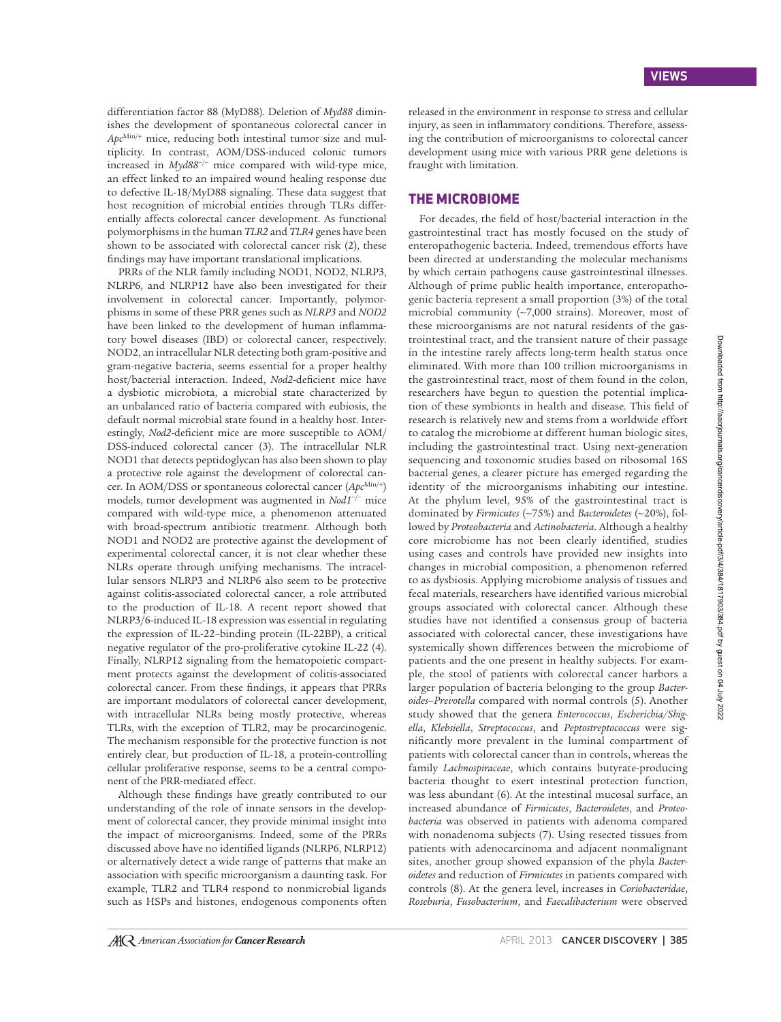differentiation factor 88 (MyD88). Deletion of *Myd88* diminishes the development of spontaneous colorectal cancer in *Apc*Min/+ mice, reducing both intestinal tumor size and multiplicity. In contrast, AOM/DSS-induced colonic tumors increased in *Myd88* −/− mice compared with wild-type mice, an effect linked to an impaired wound healing response due to defective IL-18/MyD88 signaling. These data suggest that host recognition of microbial entities through TLRs differentially affects colorectal cancer development. As functional polymorphisms in the human *TLR2* and *TLR4* genes have been shown to be associated with colorectal cancer risk (2), these findings may have important translational implications.

 PRRs of the NLR family including NOD1, NOD2, NLRP3, NLRP6, and NLRP12 have also been investigated for their involvement in colorectal cancer. Importantly, polymorphisms in some of these PRR genes such as *NLRP3* and *NOD2* have been linked to the development of human inflammatory bowel diseases (IBD) or colorectal cancer, respectively. NOD2, an intracellular NLR detecting both gram-positive and gram-negative bacteria, seems essential for a proper healthy host/bacterial interaction. Indeed, *Nod2*-deficient mice have a dysbiotic microbiota, a microbial state characterized by an unbalanced ratio of bacteria compared with eubiosis, the default normal microbial state found in a healthy host. Interestingly, *Nod2*-deficient mice are more susceptible to AOM/ DSS-induced colorectal cancer (3). The intracellular NLR NOD1 that detects peptidoglycan has also been shown to play a protective role against the development of colorectal cancer. In AOM/DSS or spontaneous colorectal cancer ( $Apc^{Min/+}$ ) models, tumor development was augmented in *Nod1*−/− mice compared with wild-type mice, a phenomenon attenuated with broad-spectrum antibiotic treatment. Although both NOD1 and NOD2 are protective against the development of experimental colorectal cancer, it is not clear whether these NLRs operate through unifying mechanisms. The intracellular sensors NLRP3 and NLRP6 also seem to be protective against colitis-associated colorectal cancer, a role attributed to the production of IL-18. A recent report showed that NLRP3/6-induced IL-18 expression was essential in regulating the expression of IL-22–binding protein (IL-22BP), a critical negative regulator of the pro-proliferative cytokine IL-22 (4). Finally, NLRP12 signaling from the hematopoietic compartment protects against the development of colitis-associated colorectal cancer. From these findings, it appears that PRRs are important modulators of colorectal cancer development, with intracellular NLRs being mostly protective, whereas TLRs, with the exception of TLR2, may be procarcinogenic. The mechanism responsible for the protective function is not entirely clear, but production of IL-18, a protein-controlling cellular proliferative response, seems to be a central component of the PRR-mediated effect.

Although these findings have greatly contributed to our understanding of the role of innate sensors in the development of colorectal cancer, they provide minimal insight into the impact of microorganisms. Indeed, some of the PRRs discussed above have no identified ligands (NLRP6, NLRP12) or alternatively detect a wide range of patterns that make an association with specific microorganism a daunting task. For example, TLR2 and TLR4 respond to nonmicrobial ligands such as HSPs and histones, endogenous components often released in the environment in response to stress and cellular injury, as seen in inflammatory conditions. Therefore, assessing the contribution of microorganisms to colorectal cancer development using mice with various PRR gene deletions is fraught with limitation.

### **THE MICROBIOME**

For decades, the field of host/bacterial interaction in the gastrointestinal tract has mostly focused on the study of enteropathogenic bacteria. Indeed, tremendous efforts have been directed at understanding the molecular mechanisms by which certain pathogens cause gastrointestinal illnesses. Although of prime public health importance, enteropathogenic bacteria represent a small proportion (3%) of the total microbial community (∼7,000 strains). Moreover, most of these microorganisms are not natural residents of the gastrointestinal tract, and the transient nature of their passage in the intestine rarely affects long-term health status once eliminated. With more than 100 trillion microorganisms in the gastrointestinal tract, most of them found in the colon, researchers have begun to question the potential implication of these symbionts in health and disease. This field of research is relatively new and stems from a worldwide effort to catalog the microbiome at different human biologic sites, including the gastrointestinal tract. Using next-generation sequencing and toxonomic studies based on ribosomal 16S bacterial genes, a clearer picture has emerged regarding the identity of the microorganisms inhabiting our intestine. At the phylum level, 95% of the gastrointestinal tract is dominated by *Firmicutes* (∼75%) and *Bacteroidetes* (∼20%), followed by *Proteobacteria* and *Actinobacteria* . Although a healthy core microbiome has not been clearly identified, studies using cases and controls have provided new insights into changes in microbial composition, a phenomenon referred to as dysbiosis. Applying microbiome analysis of tissues and fecal materials, researchers have identified various microbial groups associated with colorectal cancer. Although these studies have not identified a consensus group of bacteria associated with colorectal cancer, these investigations have systemically shown differences between the microbiome of patients and the one present in healthy subjects. For example, the stool of patients with colorectal cancer harbors a larger population of bacteria belonging to the group *Bacter*oides-Prevotella compared with normal controls (5). Another study showed that the genera *Enterococcus* , *Escherichia/Shigella* , *Klebsiella* , *Streptococcus* , and *Peptostreptococcus* were significantly more prevalent in the luminal compartment of patients with colorectal cancer than in controls, whereas the family *Lachnospiraceae*, which contains butyrate-producing bacteria thought to exert intestinal protection function, was less abundant (6). At the intestinal mucosal surface, an increased abundance of *Firmicutes* , *Bacteroidetes* , and *Proteobacteria* was observed in patients with adenoma compared with nonadenoma subjects (7). Using resected tissues from patients with adenocarcinoma and adjacent nonmalignant sites, another group showed expansion of the phyla *Bacteroidetes* and reduction of *Firmicutes* in patients compared with controls (8). At the genera level, increases in *Coriobacteridae*, *Roseburia* , *Fusobacterium* , and *Faecalibacterium* were observed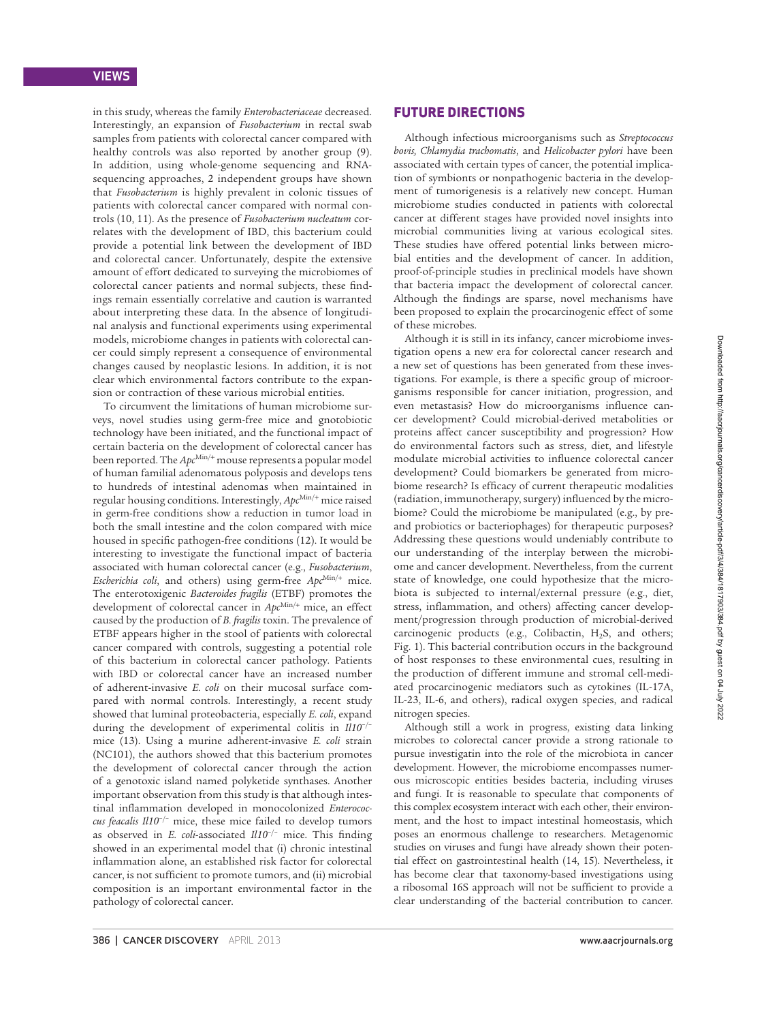in this study, whereas the family *Enterobacteriaceae* decreased. Interestingly, an expansion of *Fusobacterium* in rectal swab samples from patients with colorectal cancer compared with healthy controls was also reported by another group (9). In addition, using whole-genome sequencing and RNAsequencing approaches, 2 independent groups have shown that *Fusobacterium* is highly prevalent in colonic tissues of patients with colorectal cancer compared with normal controls ( 10, 11 ). As the presence of *Fusobacterium nucleatum* correlates with the development of IBD, this bacterium could provide a potential link between the development of IBD and colorectal cancer. Unfortunately, despite the extensive amount of effort dedicated to surveying the microbiomes of colorectal cancer patients and normal subjects, these findings remain essentially correlative and caution is warranted about interpreting these data. In the absence of longitudinal analysis and functional experiments using experimental models, microbiome changes in patients with colorectal cancer could simply represent a consequence of environmental changes caused by neoplastic lesions. In addition, it is not clear which environmental factors contribute to the expansion or contraction of these various microbial entities.

 To circumvent the limitations of human microbiome surveys, novel studies using germ-free mice and gnotobiotic technology have been initiated, and the functional impact of certain bacteria on the development of colorectal cancer has been reported. The *Apc*Min/<sup>+</sup> mouse represents a popular model of human familial adenomatous polyposis and develops tens to hundreds of intestinal adenomas when maintained in regular housing conditions. Interestingly,  $Apc^{\text{Min}/+}$  mice raised in germ-free conditions show a reduction in tumor load in both the small intestine and the colon compared with mice housed in specific pathogen-free conditions (12). It would be interesting to investigate the functional impact of bacteria associated with human colorectal cancer (e.g., *Fusobacterium* , *Escherichia coli* , and others) using germ-free *Apc*Min/<sup>+</sup> mice. The enterotoxigenic *Bacteroides fragilis* (ETBF) promotes the development of colorectal cancer in *Apc*Min/<sup>+</sup> mice, an effect caused by the production of *B. fragilis* toxin. The prevalence of ETBF appears higher in the stool of patients with colorectal cancer compared with controls, suggesting a potential role of this bacterium in colorectal cancer pathology. Patients with IBD or colorectal cancer have an increased number of adherent-invasive *E. coli* on their mucosal surface compared with normal controls. Interestingly, a recent study showed that luminal proteobacteria, especially *E. coli*, expand during the development of experimental colitis in *Il10<sup>-/−</sup>* mice (13). Using a murine adherent-invasive *E. coli* strain (NC101), the authors showed that this bacterium promotes the development of colorectal cancer through the action of a genotoxic island named polyketide synthases. Another important observation from this study is that although intestinal inflammation developed in monocolonized *Enterococcus feacalis Il10<sup>-/-</sup>* mice, these mice failed to develop tumors as observed in *E. coli*-associated *Il10<sup>-/−</sup>* mice. This finding showed in an experimental model that (i) chronic intestinal inflammation alone, an established risk factor for colorectal cancer, is not sufficient to promote tumors, and (ii) microbial composition is an important environmental factor in the pathology of colorectal cancer.

#### **FUTURE DIRECTIONS**

 Although infectious microorganisms such as *Streptococcus bovis, Chlamydia trachomatis* , and *Helicobacter pylori* have been associated with certain types of cancer, the potential implication of symbionts or nonpathogenic bacteria in the development of tumorigenesis is a relatively new concept. Human microbiome studies conducted in patients with colorectal cancer at different stages have provided novel insights into microbial communities living at various ecological sites. These studies have offered potential links between microbial entities and the development of cancer. In addition, proof-of-principle studies in preclinical models have shown that bacteria impact the development of colorectal cancer. Although the findings are sparse, novel mechanisms have been proposed to explain the procarcinogenic effect of some of these microbes.

 Although it is still in its infancy, cancer microbiome investigation opens a new era for colorectal cancer research and a new set of questions has been generated from these investigations. For example, is there a specific group of microorganisms responsible for cancer initiation, progression, and even metastasis? How do microorganisms influence cancer development? Could microbial-derived metabolities or proteins affect cancer susceptibility and progression? How do environmental factors such as stress, diet, and lifestyle modulate microbial activities to influence colorectal cancer development? Could biomarkers be generated from microbiome research? Is efficacy of current therapeutic modalities (radiation, immunotherapy, surgery) influenced by the microbiome? Could the microbiome be manipulated (e.g., by preand probiotics or bacteriophages) for therapeutic purposes? Addressing these questions would undeniably contribute to our understanding of the interplay between the microbiome and cancer development. Nevertheless, from the current state of knowledge, one could hypothesize that the microbiota is subjected to internal/external pressure (e.g., diet, stress, inflammation, and others) affecting cancer development/progression through production of microbial-derived carcinogenic products (e.g., Colibactin,  $H_2S$ , and others; Fig. 1). This bacterial contribution occurs in the background of host responses to these environmental cues, resulting in the production of different immune and stromal cell-mediated procarcinogenic mediators such as cytokines (IL-17A, IL-23, IL-6, and others), radical oxygen species, and radical nitrogen species.

 Although still a work in progress, existing data linking microbes to colorectal cancer provide a strong rationale to pursue investigatin into the role of the microbiota in cancer development. However, the microbiome encompasses numerous microscopic entities besides bacteria, including viruses and fungi. It is reasonable to speculate that components of this complex ecosystem interact with each other, their environment, and the host to impact intestinal homeostasis, which poses an enormous challenge to researchers. Metagenomic studies on viruses and fungi have already shown their potential effect on gastrointestinal health (14, 15). Nevertheless, it has become clear that taxonomy-based investigations using a ribosomal 16S approach will not be sufficient to provide a clear understanding of the bacterial contribution to cancer.